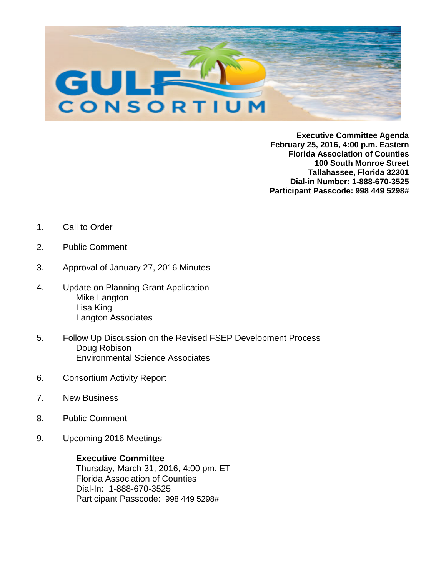

**Executive Committee Agenda February 25, 2016, 4:00 p.m. Eastern Florida Association of Counties 100 South Monroe Street Tallahassee, Florida 32301 Dial-in Number: 1-888-670-3525 Participant Passcode: 998 449 5298#**

- 1. Call to Order
- 2. Public Comment
- 3. Approval of January 27, 2016 Minutes
- 4. Update on Planning Grant Application Mike Langton Lisa King Langton Associates
- 5. Follow Up Discussion on the Revised FSEP Development Process Doug Robison Environmental Science Associates
- 6. Consortium Activity Report
- 7. New Business
- 8. Public Comment
- 9. Upcoming 2016 Meetings

**Executive Committee**  Thursday, March 31, 2016, 4:00 pm, ET Florida Association of Counties Dial-In: 1-888-670-3525 Participant Passcode: 998 449 5298#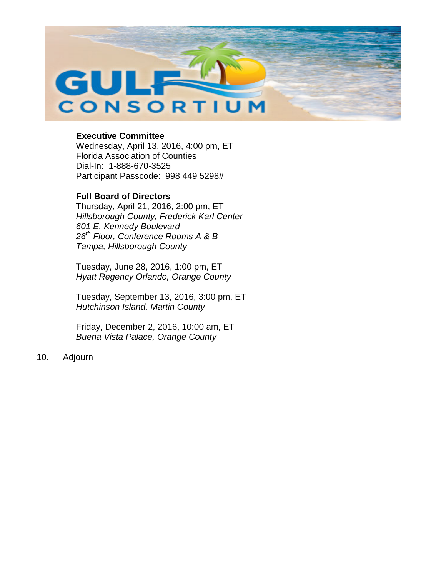

## **Executive Committee**

Wednesday, April 13, 2016, 4:00 pm, ET Florida Association of Counties Dial-In: 1-888-670-3525 Participant Passcode: 998 449 5298#

# **Full Board of Directors**

Thursday, April 21, 2016, 2:00 pm, ET *Hillsborough County, Frederick Karl Center 601 E. Kennedy Boulevard 26th Floor, Conference Rooms A & B Tampa, Hillsborough County*

Tuesday, June 28, 2016, 1:00 pm, ET *Hyatt Regency Orlando, Orange County*

Tuesday, September 13, 2016, 3:00 pm, ET *Hutchinson Island, Martin County*

Friday, December 2, 2016, 10:00 am, ET *Buena Vista Palace, Orange County*

10. Adjourn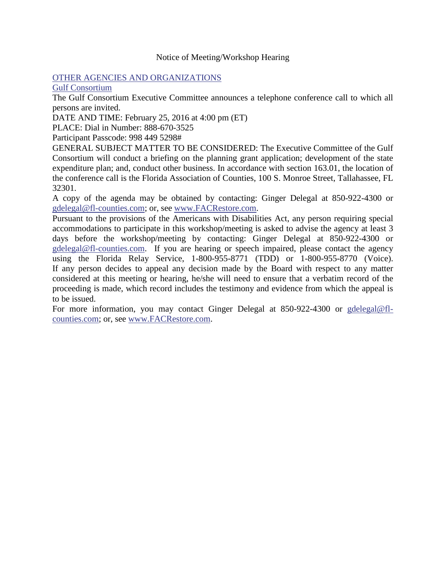### Notice of Meeting/Workshop Hearing

### [OTHER AGENCIES AND ORGANIZATIONS](https://www.flrules.org/gateway/department.asp?id=1000)

[Gulf Consortium](https://www.flrules.org/gateway/organization.asp?id=1089)

The Gulf Consortium Executive Committee announces a telephone conference call to which all persons are invited.

DATE AND TIME: February 25, 2016 at 4:00 pm (ET)

PLACE: Dial in Number: 888-670-3525

Participant Passcode: 998 449 5298#

GENERAL SUBJECT MATTER TO BE CONSIDERED: The Executive Committee of the Gulf Consortium will conduct a briefing on the planning grant application; development of the state expenditure plan; and, conduct other business. In accordance with section 163.01, the location of the conference call is the Florida Association of Counties, 100 S. Monroe Street, Tallahassee, FL 32301.

A copy of the agenda may be obtained by contacting: Ginger Delegal at 850-922-4300 or [gdelegal@fl-counties.com;](mailto:gdelegal@fl-counties.com) or, see [www.FACRestore.com.](http://www.facrestore.com/)

Pursuant to the provisions of the Americans with Disabilities Act, any person requiring special accommodations to participate in this workshop/meeting is asked to advise the agency at least 3 days before the workshop/meeting by contacting: Ginger Delegal at 850-922-4300 or [gdelegal@fl-counties.com.](mailto:gdelegal@fl-counties.com) If you are hearing or speech impaired, please contact the agency using the Florida Relay Service, 1-800-955-8771 (TDD) or 1-800-955-8770 (Voice). If any person decides to appeal any decision made by the Board with respect to any matter considered at this meeting or hearing, he/she will need to ensure that a verbatim record of the proceeding is made, which record includes the testimony and evidence from which the appeal is to be issued.

For more information, you may contact Ginger Delegal at 850-922-4300 or [gdelegal@fl](mailto:gdelegal@fl-counties.com)[counties.com;](mailto:gdelegal@fl-counties.com) or, see [www.FACRestore.com.](http://www.facrestore.com/)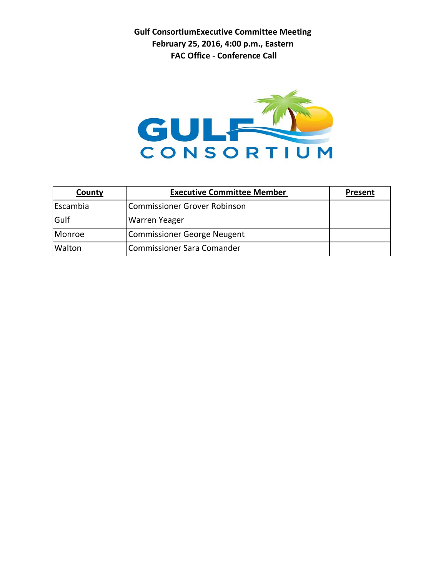**Gulf ConsortiumExecutive Committee Meeting February 25, 2016, 4:00 p.m., Eastern FAC Office - Conference Call**



| County   | <b>Executive Committee Member</b>   | <b>Present</b> |
|----------|-------------------------------------|----------------|
| Escambia | <b>Commissioner Grover Robinson</b> |                |
| Gulf     | <b>Warren Yeager</b>                |                |
| Monroe   | Commissioner George Neugent         |                |
| Walton   | Commissioner Sara Comander          |                |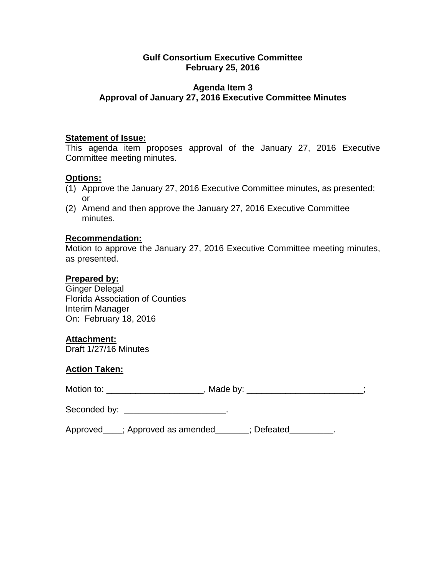## **Gulf Consortium Executive Committee February 25, 2016**

# **Agenda Item 3 Approval of January 27, 2016 Executive Committee Minutes**

### **Statement of Issue:**

This agenda item proposes approval of the January 27, 2016 Executive Committee meeting minutes.

### **Options:**

- (1) Approve the January 27, 2016 Executive Committee minutes, as presented; or
- (2) Amend and then approve the January 27, 2016 Executive Committee minutes.

### **Recommendation:**

Motion to approve the January 27, 2016 Executive Committee meeting minutes, as presented.

### **Prepared by:**

Ginger Delegal Florida Association of Counties Interim Manager On: February 18, 2016

# **Attachment:**

Draft 1/27/16 Minutes

### **Action Taken:**

Motion to: example and the Made by:  $\blacksquare$  , Made by:  $\blacksquare$ ;

| Seconded by: |  |
|--------------|--|
|--------------|--|

Approved \_\_\_; Approved as amended \_\_\_\_\_\_; Defeated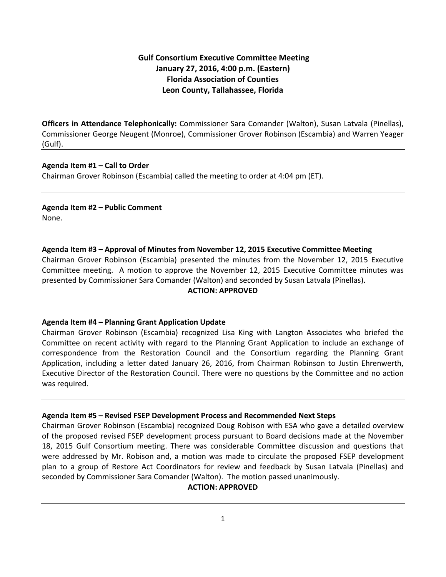## **Gulf Consortium Executive Committee Meeting January 27, 2016, 4:00 p.m. (Eastern) Florida Association of Counties Leon County, Tallahassee, Florida**

**Officers in Attendance Telephonically:** Commissioner Sara Comander (Walton), Susan Latvala (Pinellas), Commissioner George Neugent (Monroe), Commissioner Grover Robinson (Escambia) and Warren Yeager (Gulf).

#### **Agenda Item #1 – Call to Order**

Chairman Grover Robinson (Escambia) called the meeting to order at 4:04 pm (ET).

#### **Agenda Item #2 – Public Comment** None.

#### **Agenda Item #3 – Approval of Minutes from November 12, 2015 Executive Committee Meeting**

Chairman Grover Robinson (Escambia) presented the minutes from the November 12, 2015 Executive Committee meeting. A motion to approve the November 12, 2015 Executive Committee minutes was presented by Commissioner Sara Comander (Walton) and seconded by Susan Latvala (Pinellas).

#### **ACTION: APPROVED**

#### **Agenda Item #4 – Planning Grant Application Update**

Chairman Grover Robinson (Escambia) recognized Lisa King with Langton Associates who briefed the Committee on recent activity with regard to the Planning Grant Application to include an exchange of correspondence from the Restoration Council and the Consortium regarding the Planning Grant Application, including a letter dated January 26, 2016, from Chairman Robinson to Justin Ehrenwerth, Executive Director of the Restoration Council. There were no questions by the Committee and no action was required.

#### **Agenda Item #5 – Revised FSEP Development Process and Recommended Next Steps**

Chairman Grover Robinson (Escambia) recognized Doug Robison with ESA who gave a detailed overview of the proposed revised FSEP development process pursuant to Board decisions made at the November 18, 2015 Gulf Consortium meeting. There was considerable Committee discussion and questions that were addressed by Mr. Robison and, a motion was made to circulate the proposed FSEP development plan to a group of Restore Act Coordinators for review and feedback by Susan Latvala (Pinellas) and seconded by Commissioner Sara Comander (Walton). The motion passed unanimously.

#### **ACTION: APPROVED**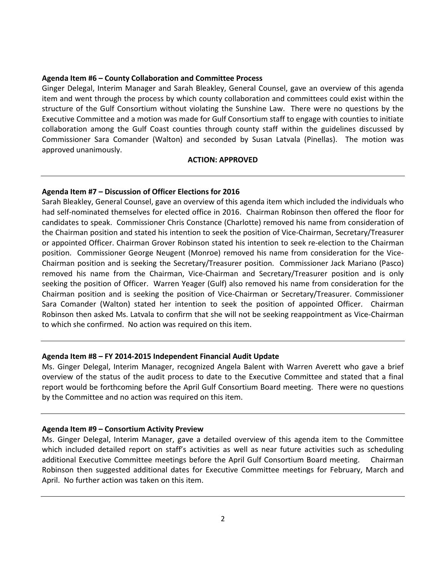#### **Agenda Item #6 – County Collaboration and Committee Process**

Ginger Delegal, Interim Manager and Sarah Bleakley, General Counsel, gave an overview of this agenda item and went through the process by which county collaboration and committees could exist within the structure of the Gulf Consortium without violating the Sunshine Law. There were no questions by the Executive Committee and a motion was made for Gulf Consortium staff to engage with counties to initiate collaboration among the Gulf Coast counties through county staff within the guidelines discussed by Commissioner Sara Comander (Walton) and seconded by Susan Latvala (Pinellas). The motion was approved unanimously.

#### **ACTION: APPROVED**

#### **Agenda Item #7 – Discussion of Officer Elections for 2016**

Sarah Bleakley, General Counsel, gave an overview of this agenda item which included the individuals who had self-nominated themselves for elected office in 2016. Chairman Robinson then offered the floor for candidates to speak. Commissioner Chris Constance (Charlotte) removed his name from consideration of the Chairman position and stated his intention to seek the position of Vice-Chairman, Secretary/Treasurer or appointed Officer. Chairman Grover Robinson stated his intention to seek re-election to the Chairman position. Commissioner George Neugent (Monroe) removed his name from consideration for the Vice-Chairman position and is seeking the Secretary/Treasurer position. Commissioner Jack Mariano (Pasco) removed his name from the Chairman, Vice-Chairman and Secretary/Treasurer position and is only seeking the position of Officer. Warren Yeager (Gulf) also removed his name from consideration for the Chairman position and is seeking the position of Vice-Chairman or Secretary/Treasurer. Commissioner Sara Comander (Walton) stated her intention to seek the position of appointed Officer. Chairman Robinson then asked Ms. Latvala to confirm that she will not be seeking reappointment as Vice-Chairman to which she confirmed. No action was required on this item.

#### **Agenda Item #8 – FY 2014-2015 Independent Financial Audit Update**

Ms. Ginger Delegal, Interim Manager, recognized Angela Balent with Warren Averett who gave a brief overview of the status of the audit process to date to the Executive Committee and stated that a final report would be forthcoming before the April Gulf Consortium Board meeting. There were no questions by the Committee and no action was required on this item.

#### **Agenda Item #9 – Consortium Activity Preview**

Ms. Ginger Delegal, Interim Manager, gave a detailed overview of this agenda item to the Committee which included detailed report on staff's activities as well as near future activities such as scheduling additional Executive Committee meetings before the April Gulf Consortium Board meeting. Chairman Robinson then suggested additional dates for Executive Committee meetings for February, March and April. No further action was taken on this item.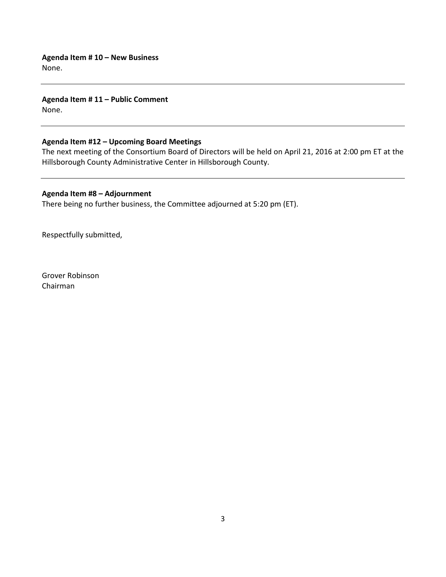**Agenda Item # 10 – New Business** None.

**Agenda Item # 11 – Public Comment** None.

#### **Agenda Item #12 – Upcoming Board Meetings**

The next meeting of the Consortium Board of Directors will be held on April 21, 2016 at 2:00 pm ET at the Hillsborough County Administrative Center in Hillsborough County.

#### **Agenda Item #8 – Adjournment**

There being no further business, the Committee adjourned at 5:20 pm (ET).

Respectfully submitted,

Grover Robinson Chairman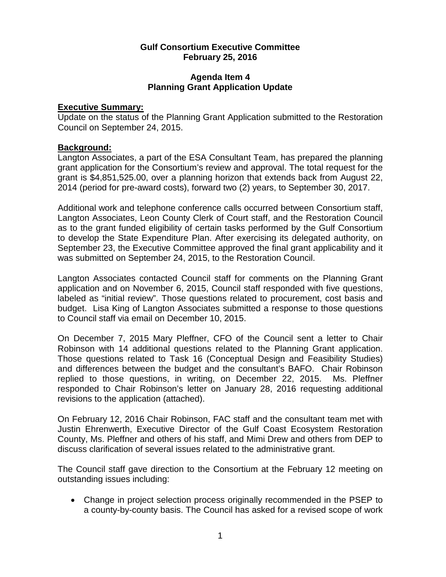## **Gulf Consortium Executive Committee February 25, 2016**

### **Agenda Item 4 Planning Grant Application Update**

### **Executive Summary:**

Update on the status of the Planning Grant Application submitted to the Restoration Council on September 24, 2015.

### **Background:**

Langton Associates, a part of the ESA Consultant Team, has prepared the planning grant application for the Consortium's review and approval. The total request for the grant is \$4,851,525.00, over a planning horizon that extends back from August 22, 2014 (period for pre-award costs), forward two (2) years, to September 30, 2017.

Additional work and telephone conference calls occurred between Consortium staff, Langton Associates, Leon County Clerk of Court staff, and the Restoration Council as to the grant funded eligibility of certain tasks performed by the Gulf Consortium to develop the State Expenditure Plan. After exercising its delegated authority, on September 23, the Executive Committee approved the final grant applicability and it was submitted on September 24, 2015, to the Restoration Council.

Langton Associates contacted Council staff for comments on the Planning Grant application and on November 6, 2015, Council staff responded with five questions, labeled as "initial review". Those questions related to procurement, cost basis and budget. Lisa King of Langton Associates submitted a response to those questions to Council staff via email on December 10, 2015.

On December 7, 2015 Mary Pleffner, CFO of the Council sent a letter to Chair Robinson with 14 additional questions related to the Planning Grant application. Those questions related to Task 16 (Conceptual Design and Feasibility Studies) and differences between the budget and the consultant's BAFO. Chair Robinson replied to those questions, in writing, on December 22, 2015. Ms. Pleffner responded to Chair Robinson's letter on January 28, 2016 requesting additional revisions to the application (attached).

On February 12, 2016 Chair Robinson, FAC staff and the consultant team met with Justin Ehrenwerth, Executive Director of the Gulf Coast Ecosystem Restoration County, Ms. Pleffner and others of his staff, and Mimi Drew and others from DEP to discuss clarification of several issues related to the administrative grant.

The Council staff gave direction to the Consortium at the February 12 meeting on outstanding issues including:

• Change in project selection process originally recommended in the PSEP to a county-by-county basis. The Council has asked for a revised scope of work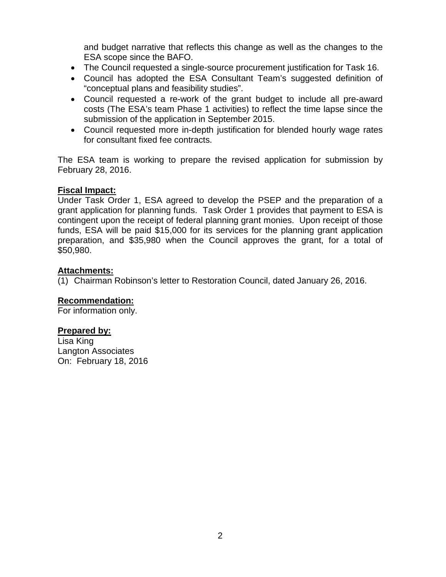and budget narrative that reflects this change as well as the changes to the ESA scope since the BAFO.

- The Council requested a single-source procurement justification for Task 16.
- Council has adopted the ESA Consultant Team's suggested definition of "conceptual plans and feasibility studies".
- Council requested a re-work of the grant budget to include all pre-award costs (The ESA's team Phase 1 activities) to reflect the time lapse since the submission of the application in September 2015.
- Council requested more in-depth justification for blended hourly wage rates for consultant fixed fee contracts.

The ESA team is working to prepare the revised application for submission by February 28, 2016.

# **Fiscal Impact:**

Under Task Order 1, ESA agreed to develop the PSEP and the preparation of a grant application for planning funds. Task Order 1 provides that payment to ESA is contingent upon the receipt of federal planning grant monies. Upon receipt of those funds, ESA will be paid \$15,000 for its services for the planning grant application preparation, and \$35,980 when the Council approves the grant, for a total of \$50,980.

# **Attachments:**

(1) Chairman Robinson's letter to Restoration Council, dated January 26, 2016.

# **Recommendation:**

For information only.

# **Prepared by:**

Lisa King Langton Associates On: February 18, 2016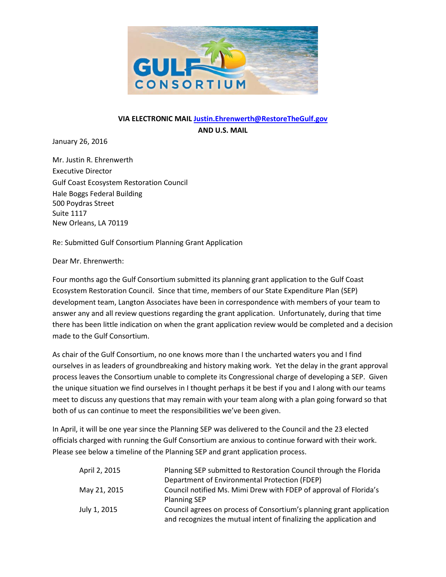

### **VIA ELECTRONIC MAIL [Justin.Ehrenwerth@RestoreTheGulf.gov](mailto:Justin.Ehrenwerth@RestoreTheGulf.gov) AND U.S. MAIL**

January 26, 2016

Mr. Justin R. Ehrenwerth Executive Director Gulf Coast Ecosystem Restoration Council Hale Boggs Federal Building 500 Poydras Street Suite 1117 New Orleans, LA 70119

Re: Submitted Gulf Consortium Planning Grant Application

Dear Mr. Ehrenwerth:

Four months ago the Gulf Consortium submitted its planning grant application to the Gulf Coast Ecosystem Restoration Council. Since that time, members of our State Expenditure Plan (SEP) development team, Langton Associates have been in correspondence with members of your team to answer any and all review questions regarding the grant application. Unfortunately, during that time there has been little indication on when the grant application review would be completed and a decision made to the Gulf Consortium.

As chair of the Gulf Consortium, no one knows more than I the uncharted waters you and I find ourselves in as leaders of groundbreaking and history making work. Yet the delay in the grant approval process leaves the Consortium unable to complete its Congressional charge of developing a SEP. Given the unique situation we find ourselves in I thought perhaps it be best if you and I along with our teams meet to discuss any questions that may remain with your team along with a plan going forward so that both of us can continue to meet the responsibilities we've been given.

In April, it will be one year since the Planning SEP was delivered to the Council and the 23 elected officials charged with running the Gulf Consortium are anxious to continue forward with their work. Please see below a timeline of the Planning SEP and grant application process.

| April 2, 2015 | Planning SEP submitted to Restoration Council through the Florida    |
|---------------|----------------------------------------------------------------------|
|               | Department of Environmental Protection (FDEP)                        |
| May 21, 2015  | Council notified Ms. Mimi Drew with FDEP of approval of Florida's    |
|               | <b>Planning SEP</b>                                                  |
| July 1, 2015  | Council agrees on process of Consortium's planning grant application |
|               | and recognizes the mutual intent of finalizing the application and   |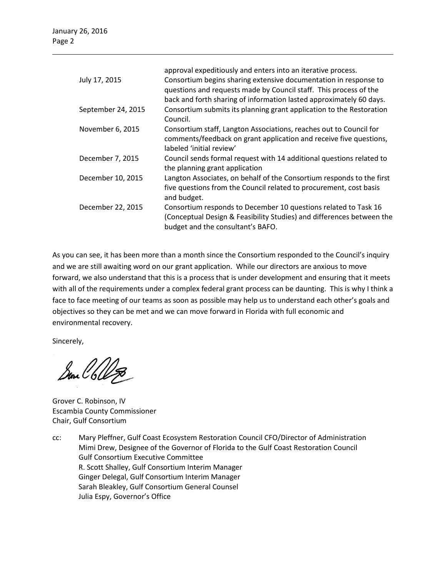|                    | approval expeditiously and enters into an iterative process.                     |
|--------------------|----------------------------------------------------------------------------------|
| July 17, 2015      | Consortium begins sharing extensive documentation in response to                 |
|                    | questions and requests made by Council staff. This process of the                |
|                    | back and forth sharing of information lasted approximately 60 days.              |
| September 24, 2015 | Consortium submits its planning grant application to the Restoration<br>Council. |
| November 6, 2015   | Consortium staff, Langton Associations, reaches out to Council for               |
|                    | comments/feedback on grant application and receive five questions,               |
|                    | labeled 'initial review'                                                         |
| December 7, 2015   | Council sends formal request with 14 additional questions related to             |
|                    | the planning grant application                                                   |
| December 10, 2015  | Langton Associates, on behalf of the Consortium responds to the first            |
|                    | five questions from the Council related to procurement, cost basis               |
|                    | and budget.                                                                      |
| December 22, 2015  | Consortium responds to December 10 questions related to Task 16                  |
|                    | (Conceptual Design & Feasibility Studies) and differences between the            |
|                    | budget and the consultant's BAFO.                                                |

As you can see, it has been more than a month since the Consortium responded to the Council's inquiry and we are still awaiting word on our grant application. While our directors are anxious to move forward, we also understand that this is a process that is under development and ensuring that it meets with all of the requirements under a complex federal grant process can be daunting. This is why I think a face to face meeting of our teams as soon as possible may help us to understand each other's goals and objectives so they can be met and we can move forward in Florida with full economic and environmental recovery.

Sincerely,

San C6125

Grover C. Robinson, IV Escambia County Commissioner Chair, Gulf Consortium

cc: Mary Pleffner, Gulf Coast Ecosystem Restoration Council CFO/Director of Administration Mimi Drew, Designee of the Governor of Florida to the Gulf Coast Restoration Council Gulf Consortium Executive Committee R. Scott Shalley, Gulf Consortium Interim Manager Ginger Delegal, Gulf Consortium Interim Manager Sarah Bleakley, Gulf Consortium General Counsel Julia Espy, Governor's Office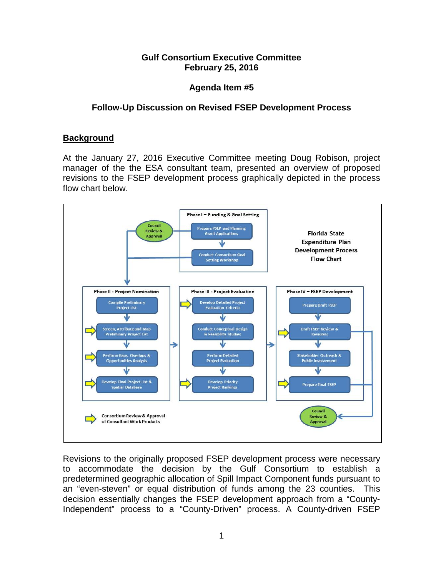# **Gulf Consortium Executive Committee February 25, 2016**

# **Agenda Item #5**

# **Follow-Up Discussion on Revised FSEP Development Process**

# **Background**

At the January 27, 2016 Executive Committee meeting Doug Robison, project manager of the the ESA consultant team, presented an overview of proposed revisions to the FSEP development process graphically depicted in the process flow chart below.



Revisions to the originally proposed FSEP development process were necessary to accommodate the decision by the Gulf Consortium to establish a predetermined geographic allocation of Spill Impact Component funds pursuant to an "even-steven" or equal distribution of funds among the 23 counties. This decision essentially changes the FSEP development approach from a "County-Independent" process to a "County-Driven" process. A County-driven FSEP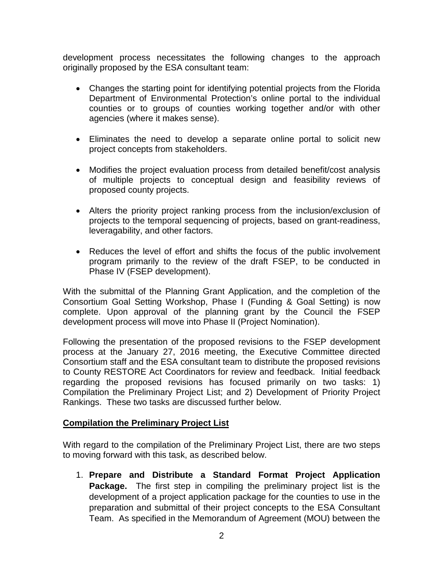development process necessitates the following changes to the approach originally proposed by the ESA consultant team:

- Changes the starting point for identifying potential projects from the Florida Department of Environmental Protection's online portal to the individual counties or to groups of counties working together and/or with other agencies (where it makes sense).
- Eliminates the need to develop a separate online portal to solicit new project concepts from stakeholders.
- Modifies the project evaluation process from detailed benefit/cost analysis of multiple projects to conceptual design and feasibility reviews of proposed county projects.
- Alters the priority project ranking process from the inclusion/exclusion of projects to the temporal sequencing of projects, based on grant-readiness, leveragability, and other factors.
- Reduces the level of effort and shifts the focus of the public involvement program primarily to the review of the draft FSEP, to be conducted in Phase IV (FSEP development).

With the submittal of the Planning Grant Application, and the completion of the Consortium Goal Setting Workshop, Phase I (Funding & Goal Setting) is now complete. Upon approval of the planning grant by the Council the FSEP development process will move into Phase II (Project Nomination).

Following the presentation of the proposed revisions to the FSEP development process at the January 27, 2016 meeting, the Executive Committee directed Consortium staff and the ESA consultant team to distribute the proposed revisions to County RESTORE Act Coordinators for review and feedback. Initial feedback regarding the proposed revisions has focused primarily on two tasks: 1) Compilation the Preliminary Project List; and 2) Development of Priority Project Rankings. These two tasks are discussed further below.

# **Compilation the Preliminary Project List**

With regard to the compilation of the Preliminary Project List, there are two steps to moving forward with this task, as described below.

1. **Prepare and Distribute a Standard Format Project Application Package.** The first step in compiling the preliminary project list is the development of a project application package for the counties to use in the preparation and submittal of their project concepts to the ESA Consultant Team. As specified in the Memorandum of Agreement (MOU) between the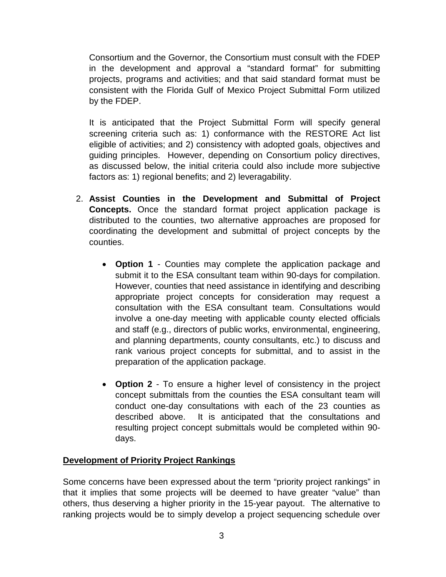Consortium and the Governor, the Consortium must consult with the FDEP in the development and approval a "standard format" for submitting projects, programs and activities; and that said standard format must be consistent with the Florida Gulf of Mexico Project Submittal Form utilized by the FDEP.

It is anticipated that the Project Submittal Form will specify general screening criteria such as: 1) conformance with the RESTORE Act list eligible of activities; and 2) consistency with adopted goals, objectives and guiding principles. However, depending on Consortium policy directives, as discussed below, the initial criteria could also include more subjective factors as: 1) regional benefits; and 2) leveragability.

- 2. **Assist Counties in the Development and Submittal of Project Concepts.** Once the standard format project application package is distributed to the counties, two alternative approaches are proposed for coordinating the development and submittal of project concepts by the counties.
	- **Option 1** Counties may complete the application package and submit it to the ESA consultant team within 90-days for compilation. However, counties that need assistance in identifying and describing appropriate project concepts for consideration may request a consultation with the ESA consultant team. Consultations would involve a one-day meeting with applicable county elected officials and staff (e.g., directors of public works, environmental, engineering, and planning departments, county consultants, etc.) to discuss and rank various project concepts for submittal, and to assist in the preparation of the application package.
	- **Option 2** To ensure a higher level of consistency in the project concept submittals from the counties the ESA consultant team will conduct one-day consultations with each of the 23 counties as described above. It is anticipated that the consultations and resulting project concept submittals would be completed within 90 days.

# **Development of Priority Project Rankings**

Some concerns have been expressed about the term "priority project rankings" in that it implies that some projects will be deemed to have greater "value" than others, thus deserving a higher priority in the 15-year payout. The alternative to ranking projects would be to simply develop a project sequencing schedule over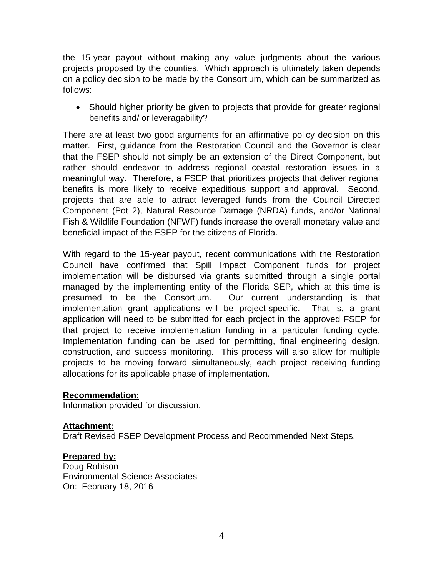the 15-year payout without making any value judgments about the various projects proposed by the counties. Which approach is ultimately taken depends on a policy decision to be made by the Consortium, which can be summarized as follows:

• Should higher priority be given to projects that provide for greater regional benefits and/ or leveragability?

There are at least two good arguments for an affirmative policy decision on this matter. First, guidance from the Restoration Council and the Governor is clear that the FSEP should not simply be an extension of the Direct Component, but rather should endeavor to address regional coastal restoration issues in a meaningful way. Therefore, a FSEP that prioritizes projects that deliver regional benefits is more likely to receive expeditious support and approval. Second, projects that are able to attract leveraged funds from the Council Directed Component (Pot 2), Natural Resource Damage (NRDA) funds, and/or National Fish & Wildlife Foundation (NFWF) funds increase the overall monetary value and beneficial impact of the FSEP for the citizens of Florida.

With regard to the 15-year payout, recent communications with the Restoration Council have confirmed that Spill Impact Component funds for project implementation will be disbursed via grants submitted through a single portal managed by the implementing entity of the Florida SEP, which at this time is presumed to be the Consortium. Our current understanding is that implementation grant applications will be project-specific. That is, a grant application will need to be submitted for each project in the approved FSEP for that project to receive implementation funding in a particular funding cycle. Implementation funding can be used for permitting, final engineering design, construction, and success monitoring. This process will also allow for multiple projects to be moving forward simultaneously, each project receiving funding allocations for its applicable phase of implementation.

# **Recommendation:**

Information provided for discussion.

### **Attachment:**

Draft Revised FSEP Development Process and Recommended Next Steps.

# **Prepared by:**

Doug Robison Environmental Science Associates On: February 18, 2016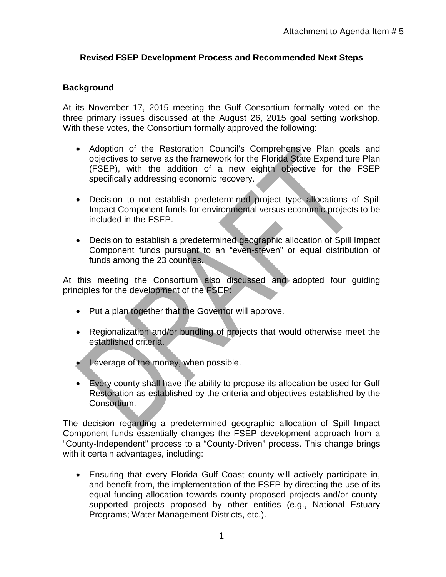# **Revised FSEP Development Process and Recommended Next Steps**

# **Background**

At its November 17, 2015 meeting the Gulf Consortium formally voted on the three primary issues discussed at the August 26, 2015 goal setting workshop. With these votes, the Consortium formally approved the following:

- Adoption of the Restoration Council's Comprehensive Plan goals and objectives to serve as the framework for the Florida State Expenditure Plan (FSEP), with the addition of a new eighth objective for the FSEP specifically addressing economic recovery.
- Decision to not establish predetermined project type allocations of Spill Impact Component funds for environmental versus economic projects to be included in the FSEP.
- Decision to establish a predetermined geographic allocation of Spill Impact Component funds pursuant to an "even-steven" or equal distribution of funds among the 23 counties.

At this meeting the Consortium also discussed and adopted four guiding principles for the development of the FSEP:

- Put a plan together that the Governor will approve.
- Regionalization and/or bundling of projects that would otherwise meet the established criteria.
- Leverage of the money, when possible.
- Every county shall have the ability to propose its allocation be used for Gulf Restoration as established by the criteria and objectives established by the Consortium.

The decision regarding a predetermined geographic allocation of Spill Impact Component funds essentially changes the FSEP development approach from a "County-Independent" process to a "County-Driven" process. This change brings with it certain advantages, including:

• Ensuring that every Florida Gulf Coast county will actively participate in, and benefit from, the implementation of the FSEP by directing the use of its equal funding allocation towards county-proposed projects and/or countysupported projects proposed by other entities (e.g., National Estuary Programs; Water Management Districts, etc.).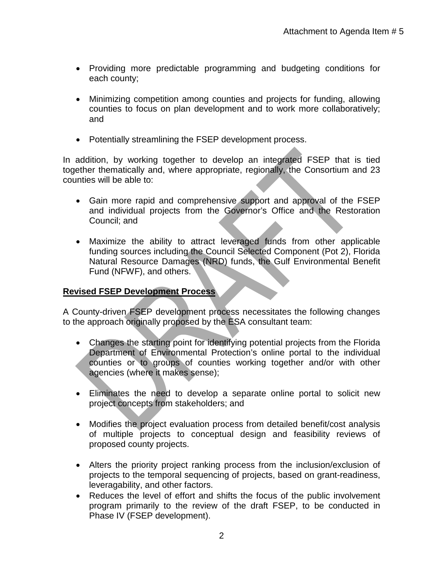- Providing more predictable programming and budgeting conditions for each county;
- Minimizing competition among counties and projects for funding, allowing counties to focus on plan development and to work more collaboratively; and
- Potentially streamlining the FSEP development process.

In addition, by working together to develop an integrated FSEP that is tied together thematically and, where appropriate, regionally, the Consortium and 23 counties will be able to:

- Gain more rapid and comprehensive support and approval of the FSEP and individual projects from the Governor's Office and the Restoration Council; and
- Maximize the ability to attract leveraged funds from other applicable funding sources including the Council Selected Component (Pot 2), Florida Natural Resource Damages (NRD) funds, the Gulf Environmental Benefit Fund (NFWF), and others.

# **Revised FSEP Development Process**

A County-driven FSEP development process necessitates the following changes to the approach originally proposed by the ESA consultant team:

- Changes the starting point for identifying potential projects from the Florida Department of Environmental Protection's online portal to the individual counties or to groups of counties working together and/or with other agencies (where it makes sense);
- Eliminates the need to develop a separate online portal to solicit new project concepts from stakeholders; and
- Modifies the project evaluation process from detailed benefit/cost analysis of multiple projects to conceptual design and feasibility reviews of proposed county projects.
- Alters the priority project ranking process from the inclusion/exclusion of projects to the temporal sequencing of projects, based on grant-readiness, leveragability, and other factors.
- Reduces the level of effort and shifts the focus of the public involvement program primarily to the review of the draft FSEP, to be conducted in Phase IV (FSEP development).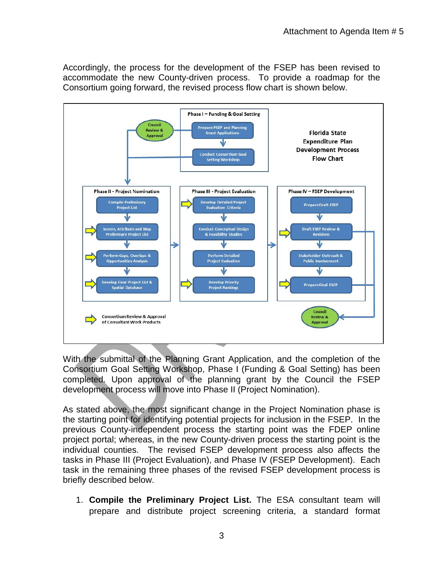Accordingly, the process for the development of the FSEP has been revised to accommodate the new County-driven process. To provide a roadmap for the Consortium going forward, the revised process flow chart is shown below.



With the submittal of the Planning Grant Application, and the completion of the Consortium Goal Setting Workshop, Phase I (Funding & Goal Setting) has been completed. Upon approval of the planning grant by the Council the FSEP development process will move into Phase II (Project Nomination).

As stated above, the most significant change in the Project Nomination phase is the starting point for identifying potential projects for inclusion in the FSEP. In the previous County-independent process the starting point was the FDEP online project portal; whereas, in the new County-driven process the starting point is the individual counties. The revised FSEP development process also affects the tasks in Phase III (Project Evaluation), and Phase IV (FSEP Development). Each task in the remaining three phases of the revised FSEP development process is briefly described below.

1. **Compile the Preliminary Project List.** The ESA consultant team will prepare and distribute project screening criteria, a standard format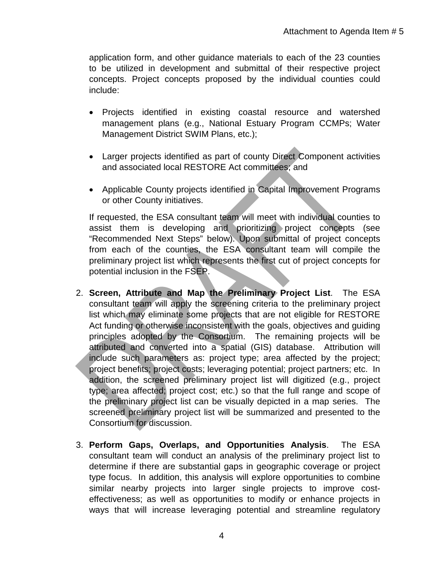application form, and other guidance materials to each of the 23 counties to be utilized in development and submittal of their respective project concepts. Project concepts proposed by the individual counties could include:

- Projects identified in existing coastal resource and watershed management plans (e.g., National Estuary Program CCMPs; Water Management District SWIM Plans, etc.);
- Larger projects identified as part of county Direct Component activities and associated local RESTORE Act committees; and
- Applicable County projects identified in Capital Improvement Programs or other County initiatives.

If requested, the ESA consultant team will meet with individual counties to assist them is developing and prioritizing project concepts (see "Recommended Next Steps" below). Upon submittal of project concepts from each of the counties, the ESA consultant team will compile the preliminary project list which represents the first cut of project concepts for potential inclusion in the FSEP.

- 2. **Screen, Attribute and Map the Preliminary Project List**. The ESA consultant team will apply the screening criteria to the preliminary project list which may eliminate some projects that are not eligible for RESTORE Act funding or otherwise inconsistent with the goals, objectives and guiding principles adopted by the Consortium. The remaining projects will be attributed and converted into a spatial (GIS) database. Attribution will include such parameters as: project type; area affected by the project; project benefits; project costs; leveraging potential; project partners; etc. In addition, the screened preliminary project list will digitized (e.g., project type; area affected; project cost; etc.) so that the full range and scope of the preliminary project list can be visually depicted in a map series. The screened preliminary project list will be summarized and presented to the Consortium for discussion.
- 3. **Perform Gaps, Overlaps, and Opportunities Analysis**. The ESA consultant team will conduct an analysis of the preliminary project list to determine if there are substantial gaps in geographic coverage or project type focus. In addition, this analysis will explore opportunities to combine similar nearby projects into larger single projects to improve costeffectiveness; as well as opportunities to modify or enhance projects in ways that will increase leveraging potential and streamline regulatory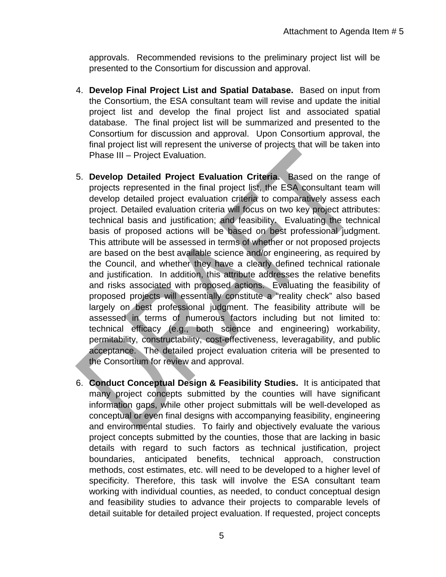approvals. Recommended revisions to the preliminary project list will be presented to the Consortium for discussion and approval.

- 4. **Develop Final Project List and Spatial Database.** Based on input from the Consortium, the ESA consultant team will revise and update the initial project list and develop the final project list and associated spatial database. The final project list will be summarized and presented to the Consortium for discussion and approval. Upon Consortium approval, the final project list will represent the universe of projects that will be taken into Phase III – Project Evaluation.
- 5. **Develop Detailed Project Evaluation Criteria.** Based on the range of projects represented in the final project list, the ESA consultant team will develop detailed project evaluation criteria to comparatively assess each project. Detailed evaluation criteria will focus on two key project attributes: technical basis and justification; and feasibility. Evaluating the technical basis of proposed actions will be based on best professional judgment. This attribute will be assessed in terms of whether or not proposed projects are based on the best available science and/or engineering, as required by the Council, and whether they have a clearly defined technical rationale and justification. In addition, this attribute addresses the relative benefits and risks associated with proposed actions. Evaluating the feasibility of proposed projects will essentially constitute a "reality check" also based largely on best professional judgment. The feasibility attribute will be assessed in terms of numerous factors including but not limited to: technical efficacy (e.g., both science and engineering) workability, permitability, constructability, cost-effectiveness, leveragability, and public acceptance. The detailed project evaluation criteria will be presented to the Consortium for review and approval.
- 6. **Conduct Conceptual Design & Feasibility Studies.** It is anticipated that many project concepts submitted by the counties will have significant information gaps, while other project submittals will be well-developed as conceptual or even final designs with accompanying feasibility, engineering and environmental studies. To fairly and objectively evaluate the various project concepts submitted by the counties, those that are lacking in basic details with regard to such factors as technical justification, project boundaries, anticipated benefits, technical approach, construction methods, cost estimates, etc. will need to be developed to a higher level of specificity. Therefore, this task will involve the ESA consultant team working with individual counties, as needed, to conduct conceptual design and feasibility studies to advance their projects to comparable levels of detail suitable for detailed project evaluation. If requested, project concepts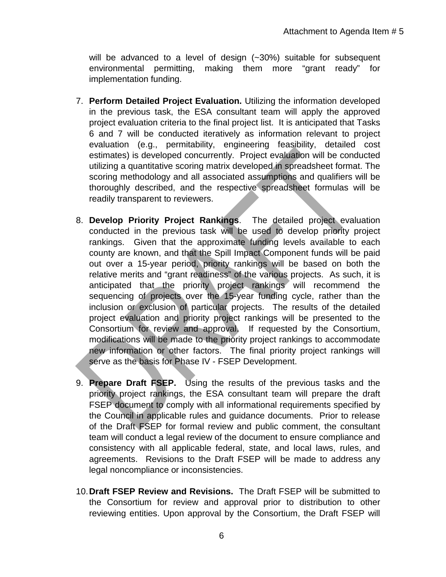will be advanced to a level of design (~30%) suitable for subsequent environmental permitting, making them more "grant ready" for implementation funding.

- 7. **Perform Detailed Project Evaluation.** Utilizing the information developed in the previous task, the ESA consultant team will apply the approved project evaluation criteria to the final project list. It is anticipated that Tasks 6 and 7 will be conducted iteratively as information relevant to project evaluation (e.g., permitability, engineering feasibility, detailed cost estimates) is developed concurrently. Project evaluation will be conducted utilizing a quantitative scoring matrix developed in spreadsheet format. The scoring methodology and all associated assumptions and qualifiers will be thoroughly described, and the respective spreadsheet formulas will be readily transparent to reviewers.
- 8. **Develop Priority Project Rankings**. The detailed project evaluation conducted in the previous task will be used to develop priority project rankings. Given that the approximate funding levels available to each county are known, and that the Spill Impact Component funds will be paid out over a 15-year period, priority rankings will be based on both the relative merits and "grant readiness" of the various projects. As such, it is anticipated that the priority project rankings will recommend the sequencing of projects over the 15-year funding cycle, rather than the inclusion or exclusion of particular projects. The results of the detailed project evaluation and priority project rankings will be presented to the Consortium for review and approval. If requested by the Consortium, modifications will be made to the priority project rankings to accommodate new information or other factors. The final priority project rankings will serve as the basis for Phase IV - FSEP Development.
- 9. **Prepare Draft FSEP.** Using the results of the previous tasks and the priority project rankings, the ESA consultant team will prepare the draft FSEP document to comply with all informational requirements specified by the Council in applicable rules and guidance documents. Prior to release of the Draft FSEP for formal review and public comment, the consultant team will conduct a legal review of the document to ensure compliance and consistency with all applicable federal, state, and local laws, rules, and agreements. Revisions to the Draft FSEP will be made to address any legal noncompliance or inconsistencies.
- 10.**Draft FSEP Review and Revisions.** The Draft FSEP will be submitted to the Consortium for review and approval prior to distribution to other reviewing entities. Upon approval by the Consortium, the Draft FSEP will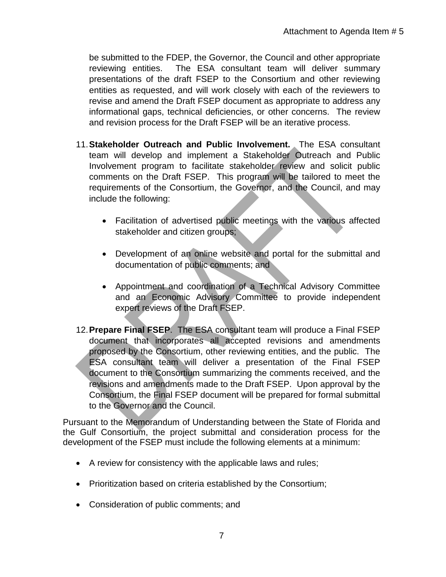be submitted to the FDEP, the Governor, the Council and other appropriate reviewing entities. The ESA consultant team will deliver summary presentations of the draft FSEP to the Consortium and other reviewing entities as requested, and will work closely with each of the reviewers to revise and amend the Draft FSEP document as appropriate to address any informational gaps, technical deficiencies, or other concerns. The review and revision process for the Draft FSEP will be an iterative process.

- 11.**Stakeholder Outreach and Public Involvement.** The ESA consultant team will develop and implement a Stakeholder Outreach and Public Involvement program to facilitate stakeholder review and solicit public comments on the Draft FSEP. This program will be tailored to meet the requirements of the Consortium, the Governor, and the Council, and may include the following:
	- Facilitation of advertised public meetings with the various affected stakeholder and citizen groups;
	- Development of an online website and portal for the submittal and documentation of public comments; and
	- Appointment and coordination of a Technical Advisory Committee and an Economic Advisory Committee to provide independent expert reviews of the Draft FSEP.
- 12.**Prepare Final FSEP**. The ESA consultant team will produce a Final FSEP document that incorporates all accepted revisions and amendments proposed by the Consortium, other reviewing entities, and the public. The ESA consultant team will deliver a presentation of the Final FSEP document to the Consortium summarizing the comments received, and the revisions and amendments made to the Draft FSEP. Upon approval by the Consortium, the Final FSEP document will be prepared for formal submittal to the Governor and the Council.

Pursuant to the Memorandum of Understanding between the State of Florida and the Gulf Consortium, the project submittal and consideration process for the development of the FSEP must include the following elements at a minimum:

- A review for consistency with the applicable laws and rules;
- Prioritization based on criteria established by the Consortium;
- Consideration of public comments; and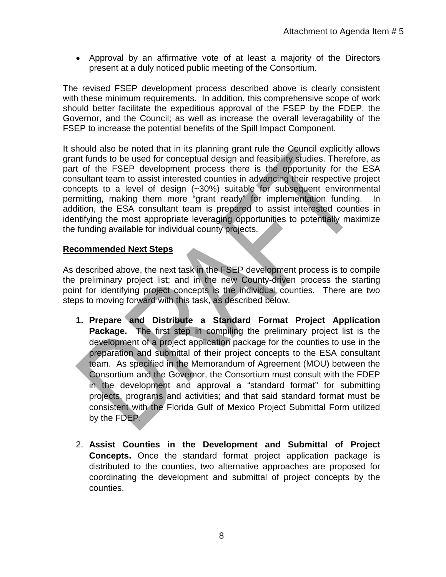• Approval by an affirmative vote of at least a majority of the Directors present at a duly noticed public meeting of the Consortium.

The revised FSEP development process described above is clearly consistent with these minimum requirements. In addition, this comprehensive scope of work should better facilitate the expeditious approval of the FSEP by the FDEP, the Governor, and the Council; as well as increase the overall leveragability of the FSEP to increase the potential benefits of the Spill Impact Component.

It should also be noted that in its planning grant rule the Council explicitly allows grant funds to be used for conceptual design and feasibility studies. Therefore, as part of the FSEP development process there is the opportunity for the ESA consultant team to assist interested counties in advancing their respective project concepts to a level of design (~30%) suitable for subsequent environmental permitting, making them more "grant ready" for implementation funding. In addition, the ESA consultant team is prepared to assist interested counties in identifying the most appropriate leveraging opportunities to potentially maximize the funding available for individual county projects.

# **Recommended Next Steps**

As described above, the next task in the FSEP development process is to compile the preliminary project list; and in the new County-driven process the starting point for identifying project concepts is the individual counties. There are two steps to moving forward with this task, as described below.

- **1. Prepare and Distribute a Standard Format Project Application Package.** The first step in compiling the preliminary project list is the development of a project application package for the counties to use in the preparation and submittal of their project concepts to the ESA consultant team. As specified in the Memorandum of Agreement (MOU) between the Consortium and the Governor, the Consortium must consult with the FDEP in the development and approval a "standard format" for submitting projects, programs and activities; and that said standard format must be consistent with the Florida Gulf of Mexico Project Submittal Form utilized by the FDEP.
- 2. **Assist Counties in the Development and Submittal of Project Concepts.** Once the standard format project application package is distributed to the counties, two alternative approaches are proposed for coordinating the development and submittal of project concepts by the counties.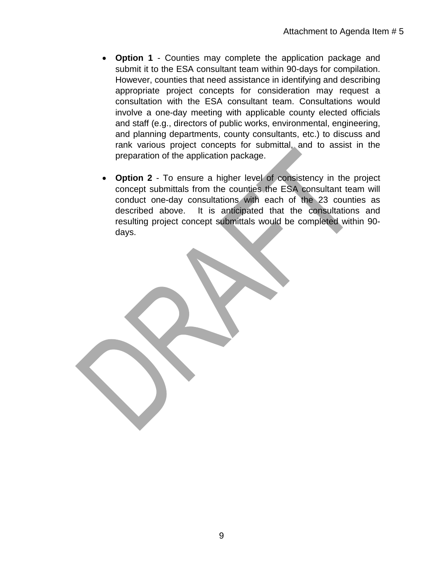- **Option 1** Counties may complete the application package and submit it to the ESA consultant team within 90-days for compilation. However, counties that need assistance in identifying and describing appropriate project concepts for consideration may request a consultation with the ESA consultant team. Consultations would involve a one-day meeting with applicable county elected officials and staff (e.g., directors of public works, environmental, engineering, and planning departments, county consultants, etc.) to discuss and rank various project concepts for submittal, and to assist in the preparation of the application package.
- **Option 2** To ensure a higher level of consistency in the project concept submittals from the counties the ESA consultant team will conduct one-day consultations with each of the 23 counties as described above. It is anticipated that the consultations and resulting project concept submittals would be completed within 90 days.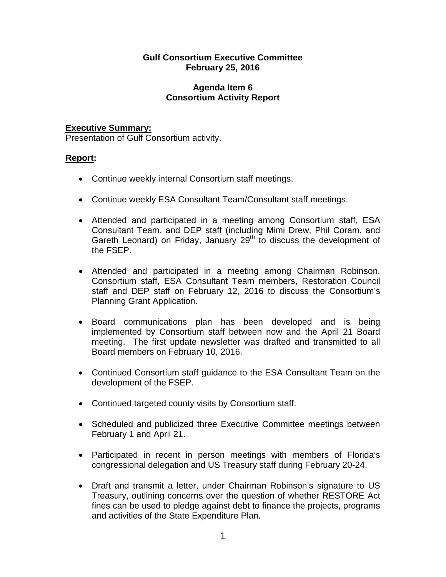# **Gulf Consortium Executive Committee February 25, 2016**

## **Agenda Item 6 Consortium Activity Report**

# **Executive Summary:**

Presentation of Gulf Consortium activity.

# **Report:**

- Continue weekly internal Consortium staff meetings.
- Continue weekly ESA Consultant Team/Consultant staff meetings.
- Attended and participated in a meeting among Consortium staff, ESA Consultant Team, and DEP staff (including Mimi Drew, Phil Coram, and Gareth Leonard) on Friday, January  $29<sup>th</sup>$  to discuss the development of the FSEP.
- Attended and participated in a meeting among Chairman Robinson, Consortium staff, ESA Consultant Team members, Restoration Council staff and DEP staff on February 12, 2016 to discuss the Consortium's Planning Grant Application.
- Board communications plan has been developed and is being implemented by Consortium staff between now and the April 21 Board meeting. The first update newsletter was drafted and transmitted to all Board members on February 10, 2016.
- Continued Consortium staff guidance to the ESA Consultant Team on the development of the FSEP.
- Continued targeted county visits by Consortium staff.
- Scheduled and publicized three Executive Committee meetings between February 1 and April 21.
- Participated in recent in person meetings with members of Florida's congressional delegation and US Treasury staff during February 20-24.
- Draft and transmit a letter, under Chairman Robinson's signature to US Treasury, outlining concerns over the question of whether RESTORE Act fines can be used to pledge against debt to finance the projects, programs and activities of the State Expenditure Plan.